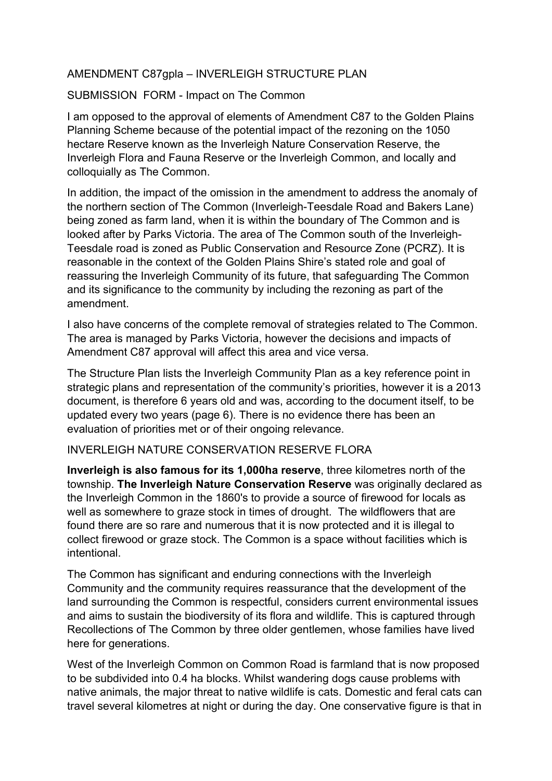### AMENDMENT C87gpla – INVERLEIGH STRUCTURE PLAN

#### SUBMISSION FORM - Impact on The Common

I am opposed to the approval of elements of Amendment C87 to the Golden Plains Planning Scheme because of the potential impact of the rezoning on the 1050 hectare Reserve known as the Inverleigh Nature Conservation Reserve, the Inverleigh Flora and Fauna Reserve or the Inverleigh Common, and locally and colloquially as The Common.

In addition, the impact of the omission in the amendment to address the anomaly of the northern section of The Common (Inverleigh-Teesdale Road and Bakers Lane) being zoned as farm land, when it is within the boundary of The Common and is looked after by Parks Victoria. The area of The Common south of the Inverleigh-Teesdale road is zoned as Public Conservation and Resource Zone (PCRZ). It is reasonable in the context of the Golden Plains Shire's stated role and goal of reassuring the Inverleigh Community of its future, that safeguarding The Common and its significance to the community by including the rezoning as part of the amendment.

I also have concerns of the complete removal of strategies related to The Common. The area is managed by Parks Victoria, however the decisions and impacts of Amendment C87 approval will affect this area and vice versa.

The Structure Plan lists the Inverleigh Community Plan as a key reference point in strategic plans and representation of the community's priorities, however it is a 2013 document, is therefore 6 years old and was, according to the document itself, to be updated every two years (page 6). There is no evidence there has been an evaluation of priorities met or of their ongoing relevance.

#### INVERLEIGH NATURE CONSERVATION RESERVE FLORA

**Inverleigh is also famous for its 1,000ha reserve**, three kilometres north of the township. **The Inverleigh Nature Conservation Reserve** was originally declared as the Inverleigh Common in the 1860's to provide a source of firewood for locals as well as somewhere to graze stock in times of drought. The wildflowers that are found there are so rare and numerous that it is now protected and it is illegal to collect firewood or graze stock. The Common is a space without facilities which is intentional.

The Common has significant and enduring connections with the Inverleigh Community and the community requires reassurance that the development of the land surrounding the Common is respectful, considers current environmental issues and aims to sustain the biodiversity of its flora and wildlife. This is captured through Recollections of The Common by three older gentlemen, whose families have lived here for generations.

West of the Inverleigh Common on Common Road is farmland that is now proposed to be subdivided into 0.4 ha blocks. Whilst wandering dogs cause problems with native animals, the major threat to native wildlife is cats. Domestic and feral cats can travel several kilometres at night or during the day. One conservative figure is that in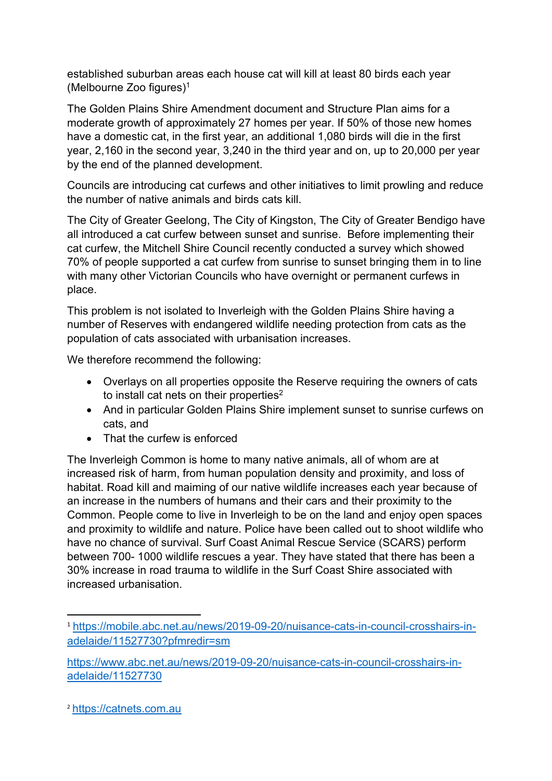established suburban areas each house cat will kill at least 80 birds each year (Melbourne Zoo figures)1

The Golden Plains Shire Amendment document and Structure Plan aims for a moderate growth of approximately 27 homes per year. If 50% of those new homes have a domestic cat, in the first year, an additional 1,080 birds will die in the first year, 2,160 in the second year, 3,240 in the third year and on, up to 20,000 per year by the end of the planned development.

Councils are introducing cat curfews and other initiatives to limit prowling and reduce the number of native animals and birds cats kill.

The City of Greater Geelong, The City of Kingston, The City of Greater Bendigo have all introduced a cat curfew between sunset and sunrise. Before implementing their cat curfew, the Mitchell Shire Council recently conducted a survey which showed 70% of people supported a cat curfew from sunrise to sunset bringing them in to line with many other Victorian Councils who have overnight or permanent curfews in place.

This problem is not isolated to Inverleigh with the Golden Plains Shire having a number of Reserves with endangered wildlife needing protection from cats as the population of cats associated with urbanisation increases.

We therefore recommend the following:

- Overlays on all properties opposite the Reserve requiring the owners of cats to install cat nets on their properties<sup>2</sup>
- And in particular Golden Plains Shire implement sunset to sunrise curfews on cats, and
- That the curfew is enforced

The Inverleigh Common is home to many native animals, all of whom are at increased risk of harm, from human population density and proximity, and loss of habitat. Road kill and maiming of our native wildlife increases each year because of an increase in the numbers of humans and their cars and their proximity to the Common. People come to live in Inverleigh to be on the land and enjoy open spaces and proximity to wildlife and nature. Police have been called out to shoot wildlife who have no chance of survival. Surf Coast Animal Rescue Service (SCARS) perform between 700- 1000 wildlife rescues a year. They have stated that there has been a 30% increase in road trauma to wildlife in the Surf Coast Shire associated with increased urbanisation.

<sup>1</sup> https://mobile.abc.net.au/news/2019-09-20/nuisance-cats-in-council-crosshairs-inadelaide/11527730?pfmredir=sm

https://www.abc.net.au/news/2019-09-20/nuisance-cats-in-council-crosshairs-inadelaide/11527730

<sup>2</sup> https://catnets.com.au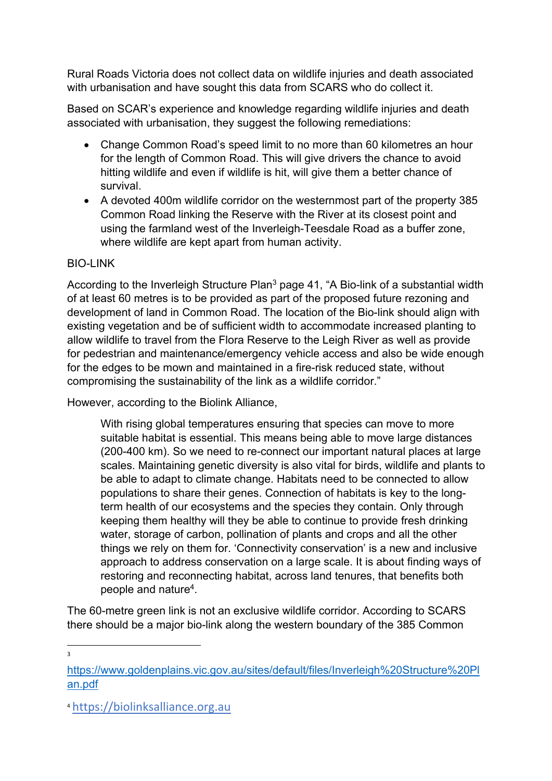Rural Roads Victoria does not collect data on wildlife injuries and death associated with urbanisation and have sought this data from SCARS who do collect it.

Based on SCAR's experience and knowledge regarding wildlife injuries and death associated with urbanisation, they suggest the following remediations:

- Change Common Road's speed limit to no more than 60 kilometres an hour for the length of Common Road. This will give drivers the chance to avoid hitting wildlife and even if wildlife is hit, will give them a better chance of survival.
- A devoted 400m wildlife corridor on the westernmost part of the property 385 Common Road linking the Reserve with the River at its closest point and using the farmland west of the Inverleigh-Teesdale Road as a buffer zone, where wildlife are kept apart from human activity.

### **BIO-LINK**

According to the Inverleigh Structure Plan<sup>3</sup> page 41, "A Bio-link of a substantial width of at least 60 metres is to be provided as part of the proposed future rezoning and development of land in Common Road. The location of the Bio-link should align with existing vegetation and be of sufficient width to accommodate increased planting to allow wildlife to travel from the Flora Reserve to the Leigh River as well as provide for pedestrian and maintenance/emergency vehicle access and also be wide enough for the edges to be mown and maintained in a fire-risk reduced state, without compromising the sustainability of the link as a wildlife corridor."

However, according to the Biolink Alliance,

With rising global temperatures ensuring that species can move to more suitable habitat is essential. This means being able to move large distances (200-400 km). So we need to re-connect our important natural places at large scales. Maintaining genetic diversity is also vital for birds, wildlife and plants to be able to adapt to climate change. Habitats need to be connected to allow populations to share their genes. Connection of habitats is key to the longterm health of our ecosystems and the species they contain. Only through keeping them healthy will they be able to continue to provide fresh drinking water, storage of carbon, pollination of plants and crops and all the other things we rely on them for. 'Connectivity conservation' is a new and inclusive approach to address conservation on a large scale. It is about finding ways of restoring and reconnecting habitat, across land tenures, that benefits both people and nature4.

The 60-metre green link is not an exclusive wildlife corridor. According to SCARS there should be a major bio-link along the western boundary of the 385 Common

3

https://www.goldenplains.vic.gov.au/sites/default/files/Inverleigh%20Structure%20Pl an.pdf

<sup>4</sup> https://biolinksalliance.org.au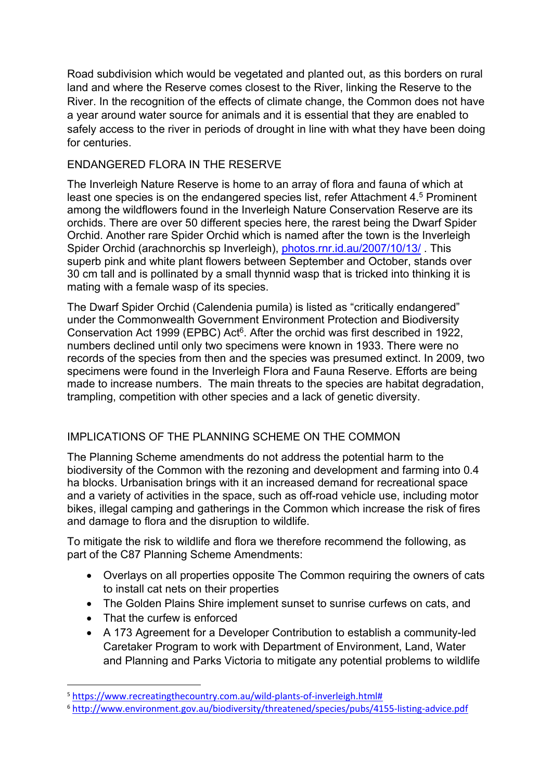Road subdivision which would be vegetated and planted out, as this borders on rural land and where the Reserve comes closest to the River, linking the Reserve to the River. In the recognition of the effects of climate change, the Common does not have a year around water source for animals and it is essential that they are enabled to safely access to the river in periods of drought in line with what they have been doing for centuries.

## ENDANGERED FLORA IN THE RESERVE

The Inverleigh Nature Reserve is home to an array of flora and fauna of which at least one species is on the endangered species list, refer Attachment 4.5 Prominent among the wildflowers found in the Inverleigh Nature Conservation Reserve are its orchids. There are over 50 different species here, the rarest being the Dwarf Spider Orchid. Another rare Spider Orchid which is named after the town is the Inverleigh Spider Orchid (arachnorchis sp Inverleigh), photos.rnr.id.au/2007/10/13/ . This superb pink and white plant flowers between September and October, stands over 30 cm tall and is pollinated by a small thynnid wasp that is tricked into thinking it is mating with a female wasp of its species.

The Dwarf Spider Orchid (Calendenia pumila) is listed as "critically endangered" under the Commonwealth Government Environment Protection and Biodiversity Conservation Act 1999 (EPBC) Act<sup>6</sup>. After the orchid was first described in 1922, numbers declined until only two specimens were known in 1933. There were no records of the species from then and the species was presumed extinct. In 2009, two specimens were found in the Inverleigh Flora and Fauna Reserve. Efforts are being made to increase numbers. The main threats to the species are habitat degradation, trampling, competition with other species and a lack of genetic diversity.

# IMPLICATIONS OF THE PLANNING SCHEME ON THE COMMON

The Planning Scheme amendments do not address the potential harm to the biodiversity of the Common with the rezoning and development and farming into 0.4 ha blocks. Urbanisation brings with it an increased demand for recreational space and a variety of activities in the space, such as off-road vehicle use, including motor bikes, illegal camping and gatherings in the Common which increase the risk of fires and damage to flora and the disruption to wildlife.

To mitigate the risk to wildlife and flora we therefore recommend the following, as part of the C87 Planning Scheme Amendments:

- Overlays on all properties opposite The Common requiring the owners of cats to install cat nets on their properties
- The Golden Plains Shire implement sunset to sunrise curfews on cats, and
- That the curfew is enforced
- A 173 Agreement for a Developer Contribution to establish a community-led Caretaker Program to work with Department of Environment, Land, Water and Planning and Parks Victoria to mitigate any potential problems to wildlife

<sup>5</sup> https://www.recreatingthecountry.com.au/wild-plants-of-inverleigh.html#

<sup>6</sup> http://www.environment.gov.au/biodiversity/threatened/species/pubs/4155-listing-advice.pdf